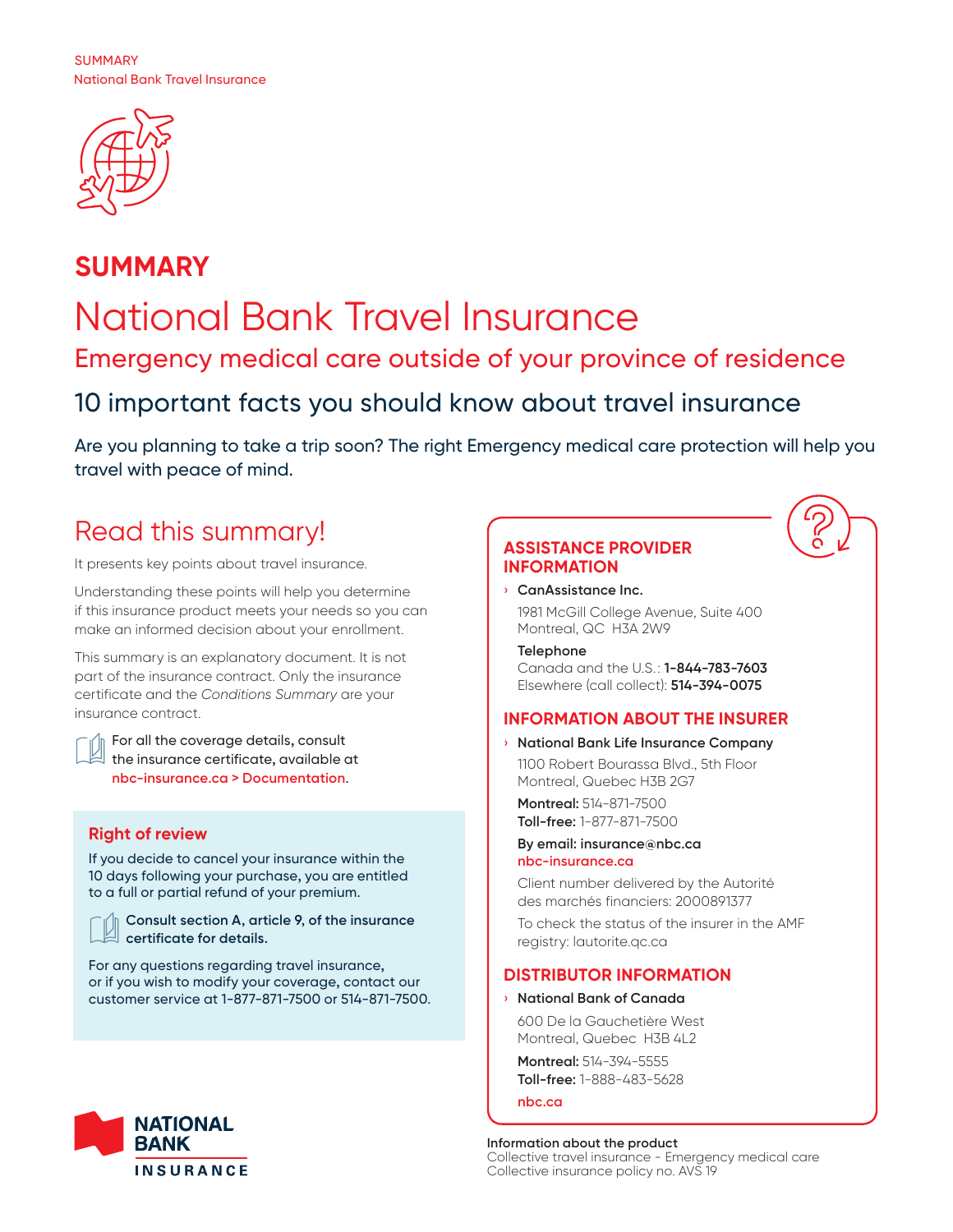

# **SUMMARY** National Bank Travel Insurance Emergency medical care outside of your province of residence 10 important facts you should know about travel insurance

Are you planning to take a trip soon? The right Emergency medical care protection will help you travel with peace of mind.

## Read this summary!

It presents key points about travel insurance.

Understanding these points will help you determine if this insurance product meets your needs so you can make an informed decision about your enrollment.

This summary is an explanatory document. It is not part of the insurance contract. Only the insurance certificate and the *Conditions Summary* are your insurance contract.

 $\parallel$  For all the coverage details, consult the insurance certificate, available at **nbc-insurance.ca > Documentation**.

## **Right of review**

If you decide to cancel your insurance within the 10 days following your purchase, you are entitled to a full or partial refund of your premium.



**Consult section A, article 9, of the insurance certificate for details.**

For any questions regarding travel insurance, or if you wish to modify your coverage, contact our customer service at 1-877-871-7500 or 514-871-7500.



## **ASSISTANCE PROVIDER INFORMATION**

› **CanAssistance Inc.**

1981 McGill College Avenue, Suite 400 Montreal, QC H3A 2W9

## **Telephone**

Canada and the U.S.: **1-844-783-7603**  Elsewhere (call collect): **514-394-0075**

## **INFORMATION ABOUT THE INSURER**

› **National Bank Life Insurance Company** 1100 Robert Bourassa Blvd., 5th Floor Montreal, Quebec H3B 2G7

**Montreal:** 514-871-7500 **Toll-free:** 1-877-871-7500

#### **By email: insurance@nbc.ca nbc-insurance.ca**

Client number delivered by the Autorité des marchés financiers: 2000891377

To check the status of the insurer in the AMF registry: lautorite.qc.ca

## **DISTRIBUTOR INFORMATION**

#### › **National Bank of Canada**

600 De la Gauchetière West Montreal, Quebec H3B 4L2

**Montreal:** 514-394-5555 **Toll-free:** 1-888-483-5628

**nbc.ca**

#### **Information about the product**  Collective travel insurance - Emergency medical care Collective insurance policy no. AVS 19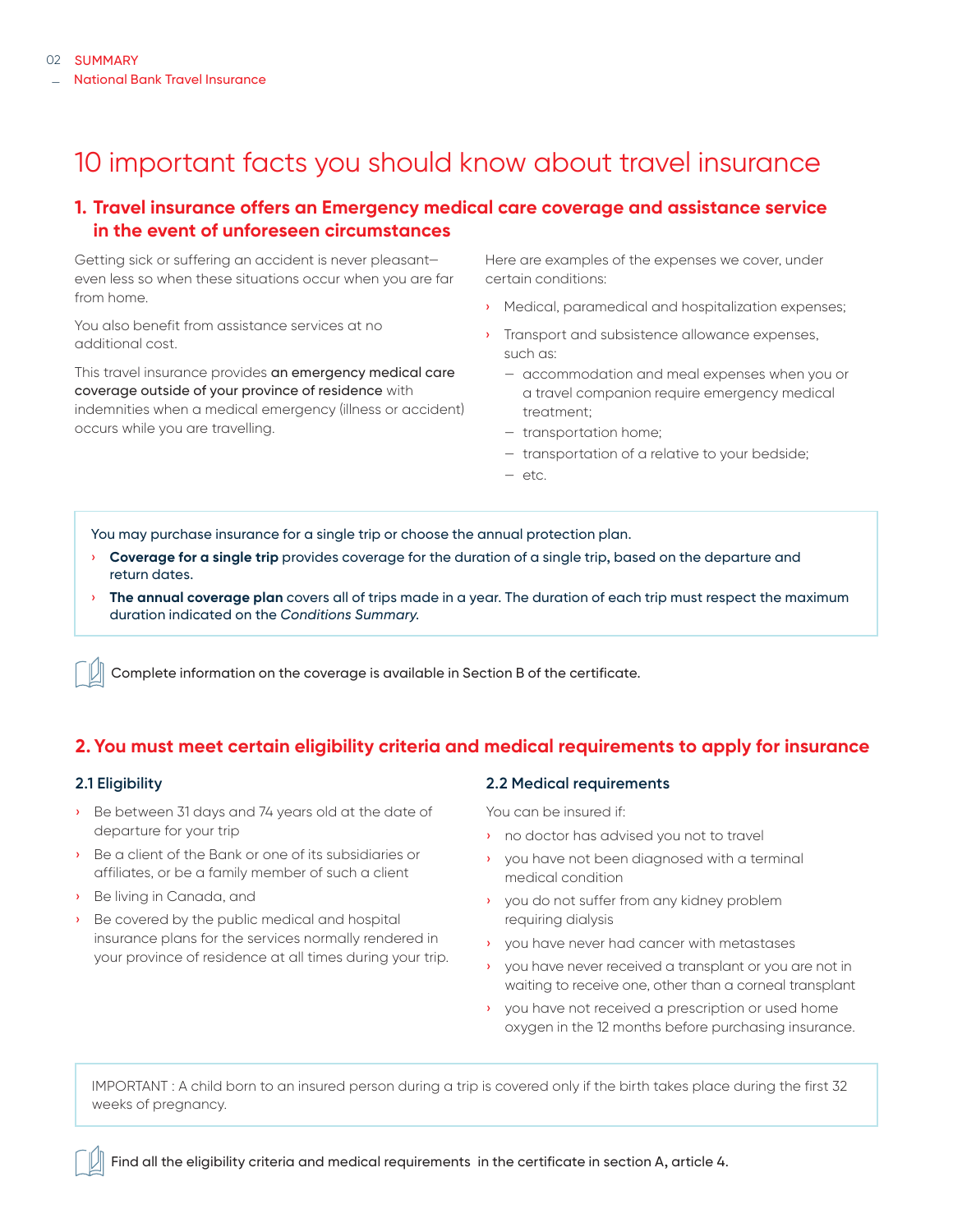## 10 important facts you should know about travel insurance

## **1. Travel insurance offers an Emergency medical care coverage and assistance service in the event of unforeseen circumstances**

Getting sick or suffering an accident is never pleasant even less so when these situations occur when you are far from home.

You also benefit from assistance services at no additional cost.

This travel insurance provides an emergency medical care coverage outside of your province of residence with indemnities when a medical emergency (illness or accident) occurs while you are travelling.

Here are examples of the expenses we cover, under certain conditions:

- › Medical, paramedical and hospitalization expenses;
- › Transport and subsistence allowance expenses, such as:
	- accommodation and meal expenses when you or a travel companion require emergency medical treatment;
	- transportation home;
	- transportation of a relative to your bedside;
	- etc.

You may purchase insurance for a single trip or choose the annual protection plan.

- › **Coverage for a single trip** provides coverage for the duration of a single trip, based on the departure and return dates.
- › **The annual coverage plan** covers all of trips made in a year. The duration of each trip must respect the maximum duration indicated on the *Conditions Summary*.

Complete information on the coverage is available in Section B of the certificate.

## **2. You must meet certain eligibility criteria and medical requirements to apply for insurance**

#### **2.1 Eligibility**

- › Be between 31 days and 74 years old at the date of departure for your trip
- Be a client of the Bank or one of its subsidiaries or affiliates, or be a family member of such a client
- › Be living in Canada, and
- › Be covered by the public medical and hospital insurance plans for the services normally rendered in your province of residence at all times during your trip.

#### **2.2 Medical requirements**

You can be insured if:

- › no doctor has advised you not to travel
- › you have not been diagnosed with a terminal medical condition
- › you do not suffer from any kidney problem requiring dialysis
- › you have never had cancer with metastases
- › you have never received a transplant or you are not in waiting to receive one, other than a corneal transplant
- › you have not received a prescription or used home oxygen in the 12 months before purchasing insurance.

IMPORTANT : A child born to an insured person during a trip is covered only if the birth takes place during the first 32 weeks of pregnancy.

Find all the eligibility criteria and medical requirements in the certificate in section A, article 4.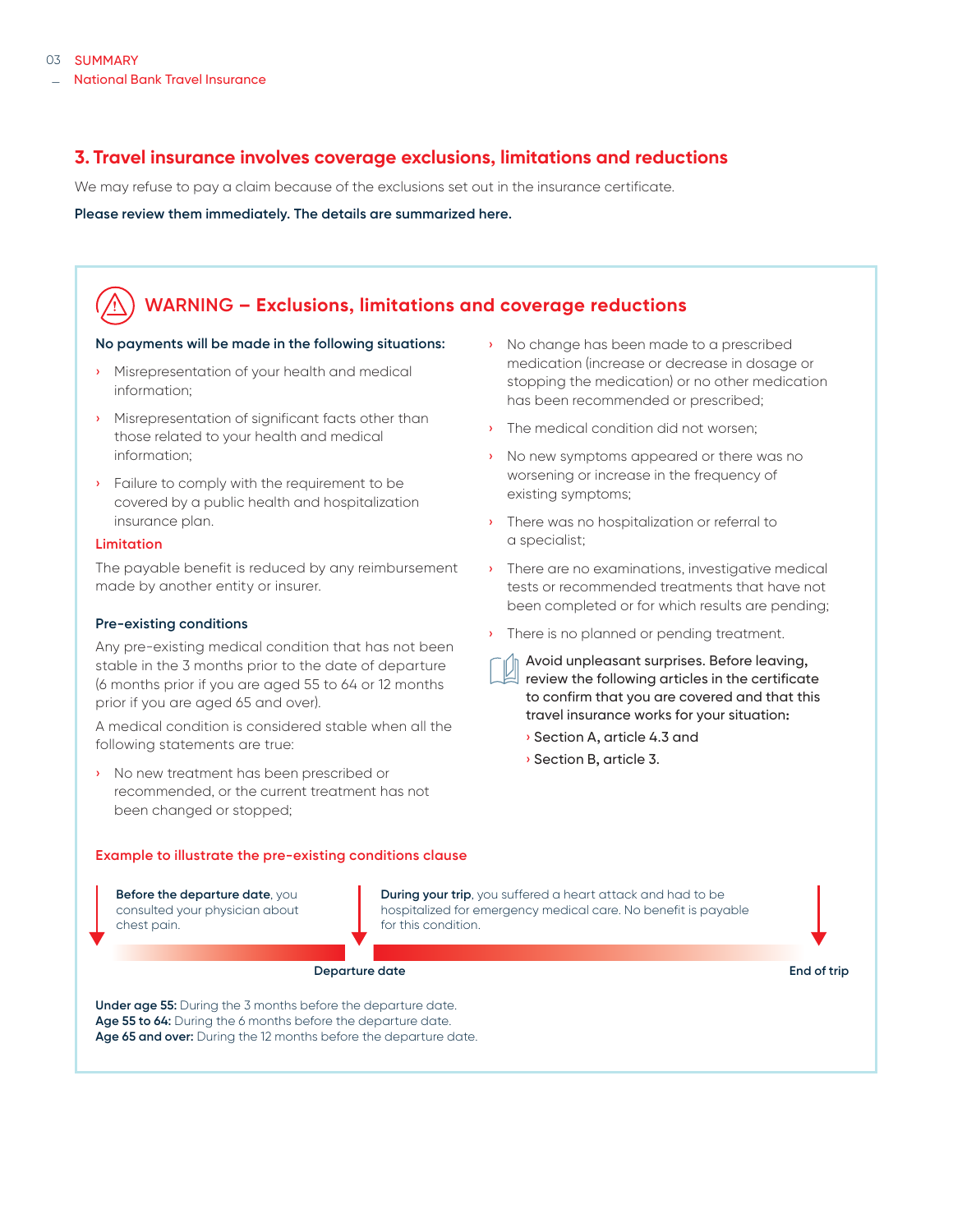## **3. Travel insurance involves coverage exclusions, limitations and reductions**

We may refuse to pay a claim because of the exclusions set out in the insurance certificate.

**Please review them immediately. The details are summarized here.** 

## **WARNING – Exclusions, limitations and coverage reductions**

#### **No payments will be made in the following situations:**

- › Misrepresentation of your health and medical information;
- › Misrepresentation of significant facts other than those related to your health and medical information;
- › Failure to comply with the requirement to be covered by a public health and hospitalization insurance plan.

#### **Limitation**

The payable benefit is reduced by any reimbursement made by another entity or insurer.

#### **Pre-existing conditions**

Any pre-existing medical condition that has not been stable in the 3 months prior to the date of departure (6 months prior if you are aged 55 to 64 or 12 months prior if you are aged 65 and over).

A medical condition is considered stable when all the following statements are true:

› No new treatment has been prescribed or recommended, or the current treatment has not been changed or stopped;

## › No change has been made to a prescribed medication (increase or decrease in dosage or stopping the medication) or no other medication has been recommended or prescribed;

- The medical condition did not worsen:
- No new symptoms appeared or there was no worsening or increase in the frequency of existing symptoms;
- There was no hospitalization or referral to a specialist;
- › There are no examinations, investigative medical tests or recommended treatments that have not been completed or for which results are pending;
- There is no planned or pending treatment.

Avoid unpleasant surprises. Before leaving, review the following articles in the certificate to confirm that you are covered and that this travel insurance works for your situation:

- › Section A, article 4.3 and
- › Section B, article 3.

#### **Example to illustrate the pre-existing conditions clause**

**Before the departure date**, you consulted your physician about chest pain.

**During your trip**, you suffered a heart attack and had to be hospitalized for emergency medical care. No benefit is payable for this condition.

**Departure date End of trip**

**Under age 55:** During the 3 months before the departure date. **Age 55 to 64:** During the 6 months before the departure date. **Age 65 and over:** During the 12 months before the departure date.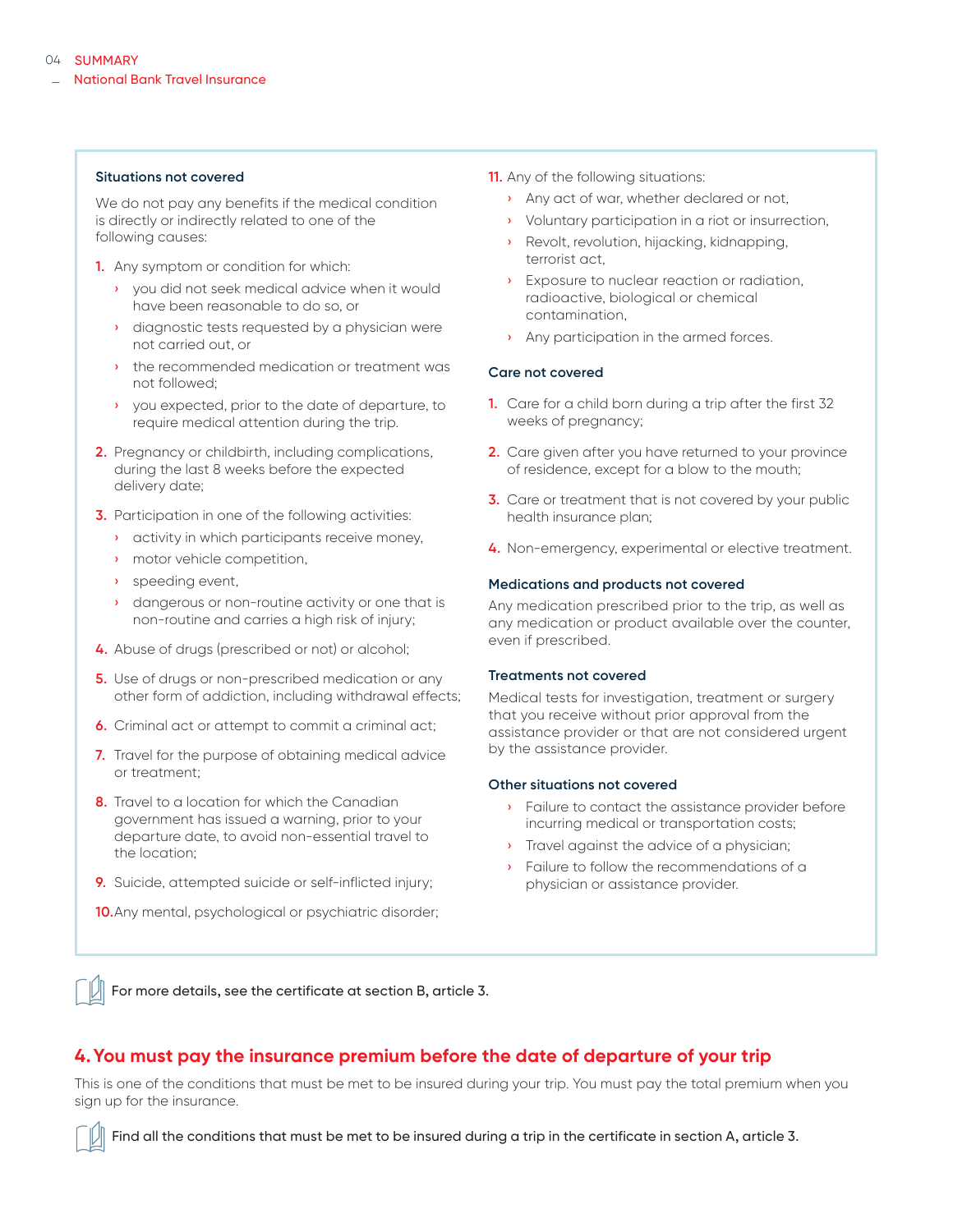#### **Situations not covered**

We do not pay any benefits if the medical condition is directly or indirectly related to one of the following causes:

- **1.** Any symptom or condition for which:
	- › you did not seek medical advice when it would have been reasonable to do so, or
	- › diagnostic tests requested by a physician were not carried out, or
	- › the recommended medication or treatment was not followed;
	- › you expected, prior to the date of departure, to require medical attention during the trip.
- **2.** Pregnancy or childbirth, including complications, during the last 8 weeks before the expected delivery date;
- **3.** Participation in one of the following activities:
	- › activity in which participants receive money,
	- › motor vehicle competition,
	- › speeding event,
	- › dangerous or non-routine activity or one that is non-routine and carries a high risk of injury;
- **4.** Abuse of drugs (prescribed or not) or alcohol;
- **5.** Use of drugs or non-prescribed medication or any other form of addiction, including withdrawal effects;
- **6.** Criminal act or attempt to commit a criminal act;
- **7.** Travel for the purpose of obtaining medical advice or treatment;
- **8.** Travel to a location for which the Canadian government has issued a warning, prior to your departure date, to avoid non-essential travel to the location;
- **9.** Suicide, attempted suicide or self-inflicted injury;
- **10.**Any mental, psychological or psychiatric disorder;
- **11.** Any of the following situations:
	- Any act of war, whether declared or not,
	- › Voluntary participation in a riot or insurrection,
	- Revolt, revolution, hijacking, kidnapping, terrorist act,
	- › Exposure to nuclear reaction or radiation, radioactive, biological or chemical contamination,
	- Any participation in the armed forces.

#### **Care not covered**

- **1.** Care for a child born during a trip after the first 32 weeks of pregnancy;
- **2.** Care given after you have returned to your province of residence, except for a blow to the mouth;
- **3.** Care or treatment that is not covered by your public health insurance plan;
- **4.** Non-emergency, experimental or elective treatment.

#### **Medications and products not covered**

Any medication prescribed prior to the trip, as well as any medication or product available over the counter, even if prescribed.

#### **Treatments not covered**

Medical tests for investigation, treatment or surgery that you receive without prior approval from the assistance provider or that are not considered urgent by the assistance provider.

#### **Other situations not covered**

- › Failure to contact the assistance provider before incurring medical or transportation costs;
- **I** Travel against the advice of a physician;
- Failure to follow the recommendations of a physician or assistance provider.

For more details, see the certificate at section B, article 3.

#### **4.You must pay the insurance premium before the date of departure of your trip**

This is one of the conditions that must be met to be insured during your trip. You must pay the total premium when you sign up for the insurance.

Find all the conditions that must be met to be insured during a trip in the certificate in section A, article 3.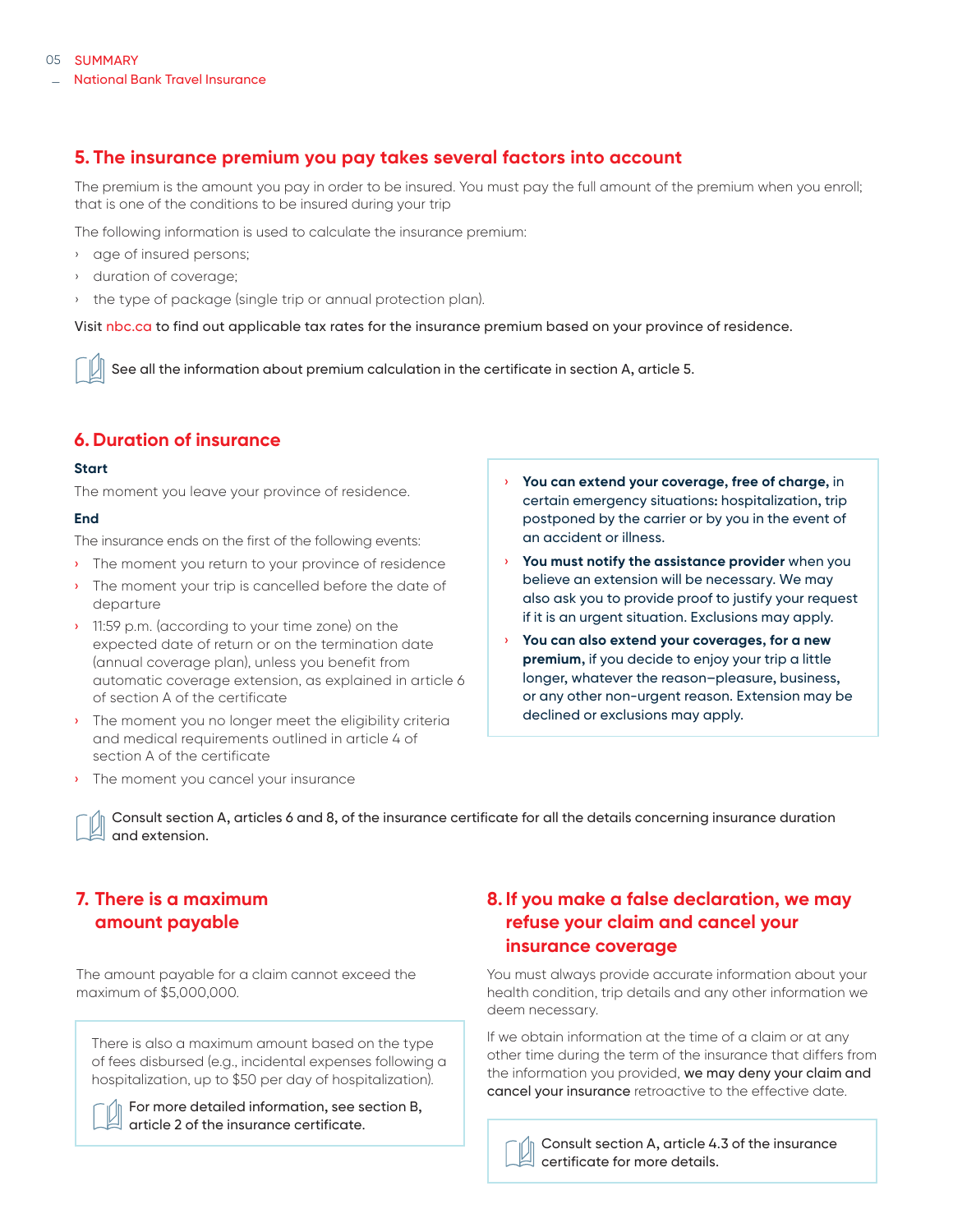## **5. The insurance premium you pay takes several factors into account**

The premium is the amount you pay in order to be insured. You must pay the full amount of the premium when you enroll; that is one of the conditions to be insured during your trip

The following information is used to calculate the insurance premium:

- › age of insured persons;
- › duration of coverage;
- › the type of package (single trip or annual protection plan).

Visit nbc.ca to find out applicable tax rates for the insurance premium based on your province of residence.

See all the information about premium calculation in the certificate in section A, article 5.

## **6. Duration of insurance**

#### **Start**

The moment you leave your province of residence.

#### **End**

The insurance ends on the first of the following events:

- › The moment you return to your province of residence
- › The moment your trip is cancelled before the date of departure
- <sup>1</sup> 11:59 p.m. (according to your time zone) on the expected date of return or on the termination date (annual coverage plan), unless you benefit from automatic coverage extension, as explained in article 6 of section A of the certificate
- › The moment you no longer meet the eligibility criteria and medical requirements outlined in article 4 of section A of the certificate
- › The moment you cancel your insurance
- You can extend your coverage, free of charge, in certain emergency situations: hospitalization, trip postponed by the carrier or by you in the event of an accident or illness.
- You must notify the assistance provider when you believe an extension will be necessary. We may also ask you to provide proof to justify your request if it is an urgent situation. Exclusions may apply.
- You can also extend your coverages, for a new **premium,** if you decide to enjoy your trip a little longer, whatever the reason–pleasure, business, or any other non-urgent reason. Extension may be declined or exclusions may apply.

Consult section A, articles 6 and 8, of the insurance certificate for all the details concerning insurance duration and extension.

## **7. There is a maximum amount payable**

The amount payable for a claim cannot exceed the maximum of \$5,000,000.

There is also a maximum amount based on the type of fees disbursed (e.g., incidental expenses following a hospitalization, up to \$50 per day of hospitalization).

For more detailed information, see section B, article 2 of the insurance certificate.

## **8. If you make a false declaration, we may refuse your claim and cancel your insurance coverage**

You must always provide accurate information about your health condition, trip details and any other information we deem necessary.

If we obtain information at the time of a claim or at any other time during the term of the insurance that differs from the information you provided, we may deny your claim and cancel your insurance retroactive to the effective date.



Consult section A, article 4.3 of the insurance certificate for more details.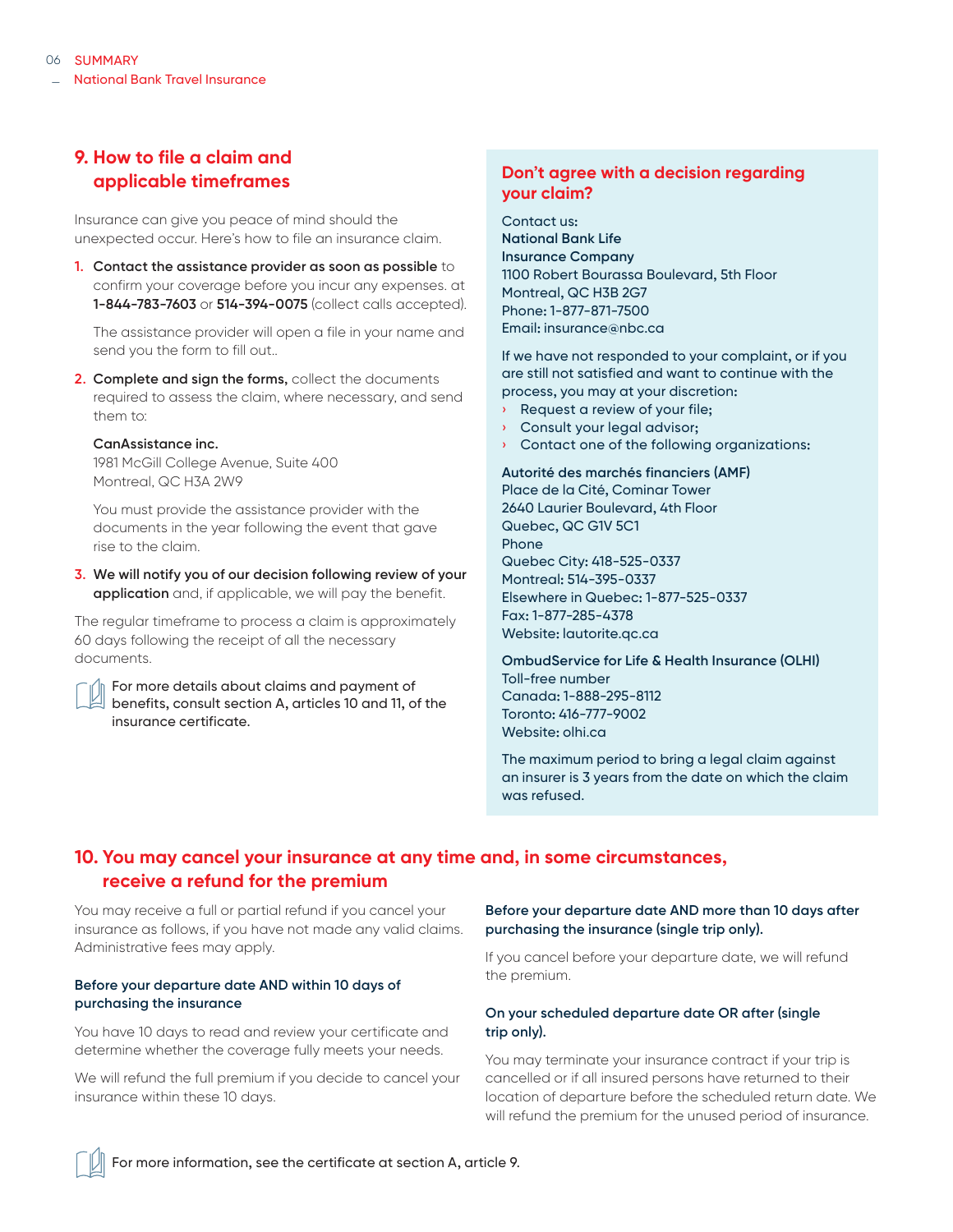## **9. How to file a claim and applicable timeframes**

Insurance can give you peace of mind should the unexpected occur. Here's how to file an insurance claim.

**1. Contact the assistance provider as soon as possible** to confirm your coverage before you incur any expenses. at **1-844-783-7603** or **514-394-0075** (collect calls accepted).

The assistance provider will open a file in your name and send you the form to fill out..

**2. Complete and sign the forms,** collect the documents required to assess the claim, where necessary, and send them to:

#### **CanAssistance inc.**

1981 McGill College Avenue, Suite 400 Montreal, QC H3A 2W9

You must provide the assistance provider with the documents in the year following the event that gave rise to the claim.

**3. We will notify you of our decision following review of your application** and, if applicable, we will pay the benefit.

The regular timeframe to process a claim is approximately 60 days following the receipt of all the necessary documents.

For more details about claims and payment of benefits, consult section A, articles 10 and 11, of the insurance certificate.

#### **Don't agree with a decision regarding your claim?**

Contact us: **National Bank Life Insurance Company** 1100 Robert Bourassa Boulevard, 5th Floor Montreal, QC H3B 2G7 Phone: 1-877-871-7500 Email: insurance@nbc.ca

If we have not responded to your complaint, or if you are still not satisfied and want to continue with the process, you may at your discretion:

- Request a review of your file;
- › Consult your legal advisor;
- **Contact one of the following organizations:**

**Autorité des marchés financiers (AMF)**

Place de la Cité, Cominar Tower 2640 Laurier Boulevard, 4th Floor Quebec, QC G1V 5C1 Phone Quebec City: 418-525-0337 Montreal: 514-395-0337 Elsewhere in Quebec: 1-877-525-0337 Fax: 1-877-285-4378 Website: lautorite.qc.ca

**OmbudService for Life & Health Insurance (OLHI)** Toll-free number Canada: 1-888-295-8112 Toronto: 416-777-9002 Website: olhi.ca

The maximum period to bring a legal claim against an insurer is 3 years from the date on which the claim was refused.

## **10. You may cancel your insurance at any time and, in some circumstances, receive a refund for the premium**

You may receive a full or partial refund if you cancel your insurance as follows, if you have not made any valid claims. Administrative fees may apply.

#### **Before your departure date AND within 10 days of purchasing the insurance**

You have 10 days to read and review your certificate and determine whether the coverage fully meets your needs.

We will refund the full premium if you decide to cancel your insurance within these 10 days.

#### **Before your departure date AND more than 10 days after purchasing the insurance (single trip only).**

If you cancel before your departure date, we will refund the premium.

#### **On your scheduled departure date OR after (single trip only).**

You may terminate your insurance contract if your trip is cancelled or if all insured persons have returned to their location of departure before the scheduled return date. We will refund the premium for the unused period of insurance.

For more information, see the certificate at section A, article 9.